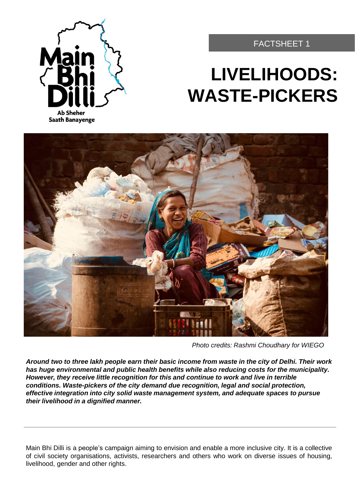

#### FACTSHEET 1

# **LIVELIHOODS: WASTE-PICKERS**



*Photo credits: Rashmi Choudhary for WIEGO*

*Around two to three lakh people earn their basic income from waste in the city of Delhi. Their work has huge environmental and public health benefits while also reducing costs for the municipality. However, they receive little recognition for this and continue to work and live in terrible conditions. Waste-pickers of the city demand due recognition, legal and social protection, effective integration into city solid waste management system, and adequate spaces to pursue their livelihood in a dignified manner.*

Main Bhi Dilli is a people's campaign aiming to envision and enable a more inclusive city. It is a collective of civil society organisations, activists, researchers and others who work on diverse issues of housing, livelihood, gender and other rights.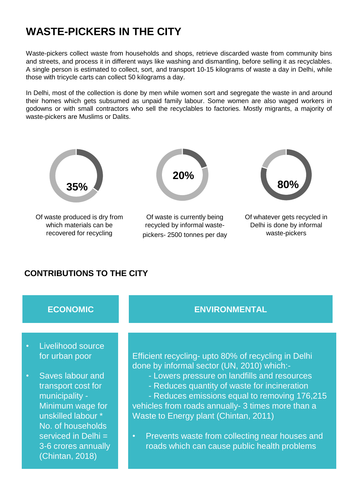# **WASTE-PICKERS IN THE CITY**

Waste-pickers collect waste from households and shops, retrieve discarded waste from community bins and streets, and process it in different ways like washing and dismantling, before selling it as recyclables. A single person is estimated to collect, sort, and transport 10-15 kilograms of waste a day in Delhi, while those with tricycle carts can collect 50 kilograms a day.

In Delhi, most of the collection is done by men while women sort and segregate the waste in and around their homes which gets subsumed as unpaid family labour. Some women are also waged workers in godowns or with small contractors who sell the recyclables to factories. Mostly migrants, a majority of waste-pickers are Muslims or Dalits.



#### **CONTRIBUTIONS TO THE CITY**

#### **ECONOMIC ENVIRONMENTAL** • Livelihood source for urban poor • Saves labour and transport cost for municipality - Minimum wage for unskilled labour \* No. of households serviced in Delhi = 3-6 crores annually (Chintan, 2018) Efficient recycling- upto 80% of recycling in Delhi done by informal sector (UN, 2010) which:- - Lowers pressure on landfills and resources - Reduces quantity of waste for incineration - Reduces emissions equal to removing 176,215 vehicles from roads annually- 3 times more than a Waste to Energy plant (Chintan, 2011) • Prevents waste from collecting near houses and roads which can cause public health problems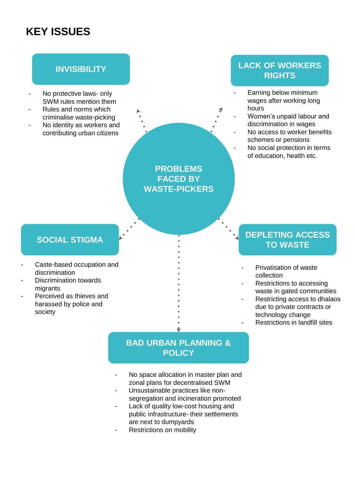# **KEY ISSUES**

- No protective laws- only SWM rules mention them
- Rules and norms which criminalise waste-picking
- No identity as workers and contributing urban citizens

**PROBLEMS FACED BY WASTE-PICKERS**

### **INVISIBILITY LACK OF WORKERS RIGHTS**

- Earning below minimum wages after working long hours
- Women's unpaid labour and discrimination in wages
- No access to worker benefits schemes or pensions
- No social protection in terms of education, health etc.

#### **SOCIAL STIGMA**

- Caste-based occupation and discrimination
- Discrimination towards migrants
- Perceived as thieves and harassed by police and society

#### **DEPLETING ACCESS TO WASTE**

- Privatisation of waste collection
- Restrictions to accessing waste in gated communities
- Restricting access to dhalaos due to private contracts or technology change
	- Restrictions in landfill sites

#### **BAD URBAN PLANNING & POLICY**

- No space allocation in master plan and zonal plans for decentralised SWM
- Unsustainable practices like nonsegregation and incineration promoted
- Lack of quality low-cost housing and public infrastructure- their settlements are next to dumpyards
- Restrictions on mobility